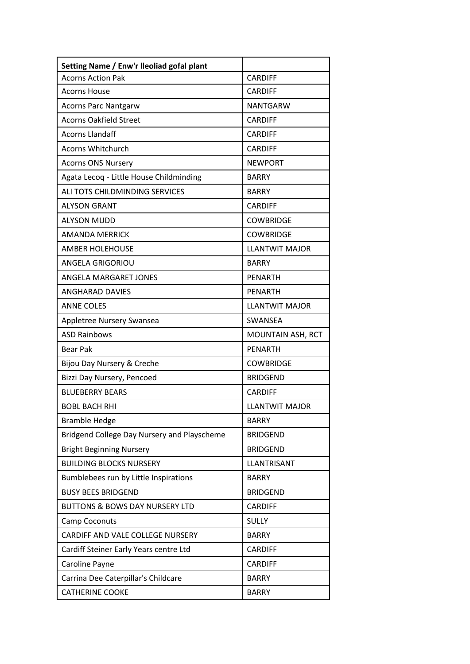| Setting Name / Enw'r lleoliad gofal plant   |                       |
|---------------------------------------------|-----------------------|
| <b>Acorns Action Pak</b>                    | <b>CARDIFF</b>        |
| <b>Acorns House</b>                         | <b>CARDIFF</b>        |
| <b>Acorns Parc Nantgarw</b>                 | <b>NANTGARW</b>       |
| <b>Acorns Oakfield Street</b>               | <b>CARDIFF</b>        |
| <b>Acorns Llandaff</b>                      | <b>CARDIFF</b>        |
| <b>Acorns Whitchurch</b>                    | <b>CARDIFF</b>        |
| <b>Acorns ONS Nursery</b>                   | <b>NEWPORT</b>        |
| Agata Lecoq - Little House Childminding     | <b>BARRY</b>          |
| ALI TOTS CHILDMINDING SERVICES              | <b>BARRY</b>          |
| <b>ALYSON GRANT</b>                         | <b>CARDIFF</b>        |
| <b>ALYSON MUDD</b>                          | <b>COWBRIDGE</b>      |
| <b>AMANDA MERRICK</b>                       | <b>COWBRIDGE</b>      |
| <b>AMBER HOLEHOUSE</b>                      | <b>LLANTWIT MAJOR</b> |
| <b>ANGELA GRIGORIOU</b>                     | <b>BARRY</b>          |
| ANGELA MARGARET JONES                       | <b>PENARTH</b>        |
| <b>ANGHARAD DAVIES</b>                      | <b>PENARTH</b>        |
| <b>ANNE COLES</b>                           | <b>LLANTWIT MAJOR</b> |
| Appletree Nursery Swansea                   | SWANSEA               |
| <b>ASD Rainbows</b>                         | MOUNTAIN ASH, RCT     |
| <b>Bear Pak</b>                             | <b>PENARTH</b>        |
| Bijou Day Nursery & Creche                  | <b>COWBRIDGE</b>      |
| Bizzi Day Nursery, Pencoed                  | <b>BRIDGEND</b>       |
| <b>BLUEBERRY BEARS</b>                      | <b>CARDIFF</b>        |
| <b>BOBL BACH RHI</b>                        | <b>LLANTWIT MAIOR</b> |
| <b>Bramble Hedge</b>                        | <b>BARRY</b>          |
| Bridgend College Day Nursery and Playscheme | <b>BRIDGEND</b>       |
| <b>Bright Beginning Nursery</b>             | <b>BRIDGEND</b>       |
| <b>BUILDING BLOCKS NURSERY</b>              | LLANTRISANT           |
| Bumblebees run by Little Inspirations       | <b>BARRY</b>          |
| <b>BUSY BEES BRIDGEND</b>                   | <b>BRIDGEND</b>       |
| <b>BUTTONS &amp; BOWS DAY NURSERY LTD</b>   | <b>CARDIFF</b>        |
| Camp Coconuts                               | <b>SULLY</b>          |
| CARDIFF AND VALE COLLEGE NURSERY            | <b>BARRY</b>          |
| Cardiff Steiner Early Years centre Ltd      | <b>CARDIFF</b>        |
| Caroline Payne                              | <b>CARDIFF</b>        |
| Carrina Dee Caterpillar's Childcare         | <b>BARRY</b>          |
| <b>CATHERINE COOKE</b>                      | <b>BARRY</b>          |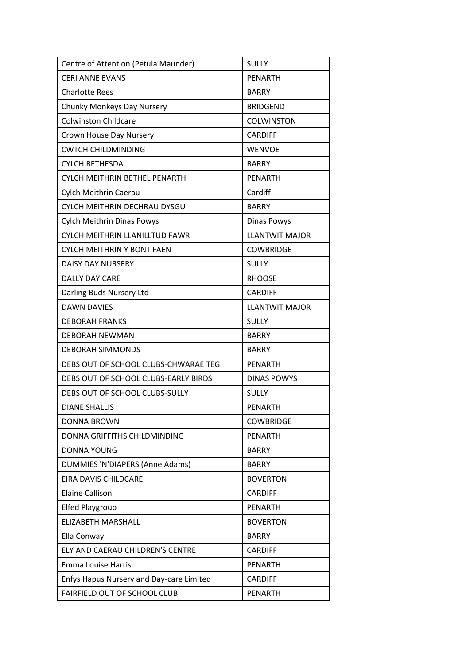| Centre of Attention (Petula Maunder)     | <b>SULLY</b>          |
|------------------------------------------|-----------------------|
| <b>CERI ANNE EVANS</b>                   | <b>PENARTH</b>        |
| <b>Charlotte Rees</b>                    | <b>BARRY</b>          |
| Chunky Monkeys Day Nursery               | <b>BRIDGEND</b>       |
| <b>Colwinston Childcare</b>              | <b>COLWINSTON</b>     |
| Crown House Day Nursery                  | <b>CARDIFF</b>        |
| <b>CWTCH CHILDMINDING</b>                | <b>WENVOE</b>         |
| <b>CYLCH BETHESDA</b>                    | <b>BARRY</b>          |
| CYLCH MEITHRIN BETHEL PENARTH            | <b>PENARTH</b>        |
| Cylch Meithrin Caerau                    | Cardiff               |
| CYLCH MEITHRIN DECHRAU DYSGU             | <b>BARRY</b>          |
| Cylch Meithrin Dinas Powys               | <b>Dinas Powys</b>    |
| CYLCH MEITHRIN LLANILLTUD FAWR           | <b>LLANTWIT MAJOR</b> |
| <b>CYLCH MEITHRIN Y BONT FAEN</b>        | <b>COWBRIDGE</b>      |
| <b>DAISY DAY NURSERY</b>                 | <b>SULLY</b>          |
| <b>DALLY DAY CARE</b>                    | <b>RHOOSE</b>         |
| Darling Buds Nursery Ltd                 | <b>CARDIFF</b>        |
| <b>DAWN DAVIES</b>                       | <b>LLANTWIT MAJOR</b> |
| <b>DEBORAH FRANKS</b>                    | <b>SULLY</b>          |
| <b>DEBORAH NEWMAN</b>                    | <b>BARRY</b>          |
| <b>DEBORAH SIMMONDS</b>                  | <b>BARRY</b>          |
| DEBS OUT OF SCHOOL CLUBS-CHWARAE TEG     | <b>PENARTH</b>        |
| DEBS OUT OF SCHOOL CLUBS-EARLY BIRDS     | <b>DINAS POWYS</b>    |
| DEBS OUT OF SCHOOL CLUBS-SULLY           | <b>SULLY</b>          |
| <b>DIANE SHALLIS</b>                     | <b>PENARTH</b>        |
| <b>DONNA BROWN</b>                       | <b>COWBRIDGE</b>      |
| DONNA GRIFFITHS CHILDMINDING             | <b>PENARTH</b>        |
| <b>DONNA YOUNG</b>                       | <b>BARRY</b>          |
| DUMMIES 'N'DIAPERS (Anne Adams)          | <b>BARRY</b>          |
| EIRA DAVIS CHILDCARE                     | <b>BOVERTON</b>       |
| <b>Elaine Callison</b>                   | <b>CARDIFF</b>        |
| <b>Elfed Playgroup</b>                   | PENARTH               |
| ELIZABETH MARSHALL                       | <b>BOVERTON</b>       |
| Ella Conway                              | <b>BARRY</b>          |
| ELY AND CAERAU CHILDREN'S CENTRE         | <b>CARDIFF</b>        |
| <b>Emma Louise Harris</b>                | PENARTH               |
| Enfys Hapus Nursery and Day-care Limited | <b>CARDIFF</b>        |
| FAIRFIELD OUT OF SCHOOL CLUB             | <b>PENARTH</b>        |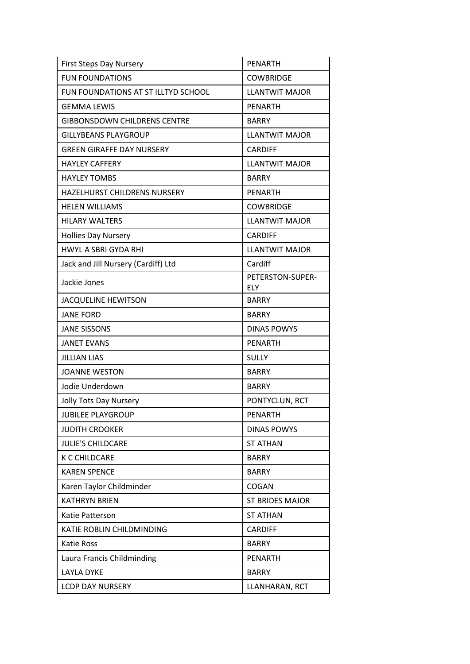| <b>First Steps Day Nursery</b>      | <b>PENARTH</b>                 |
|-------------------------------------|--------------------------------|
| <b>FUN FOUNDATIONS</b>              | <b>COWBRIDGE</b>               |
| FUN FOUNDATIONS AT ST ILLTYD SCHOOL | <b>LLANTWIT MAJOR</b>          |
| <b>GEMMA LEWIS</b>                  | <b>PENARTH</b>                 |
| <b>GIBBONSDOWN CHILDRENS CENTRE</b> | <b>BARRY</b>                   |
| <b>GILLYBEANS PLAYGROUP</b>         | <b>LLANTWIT MAJOR</b>          |
| <b>GREEN GIRAFFE DAY NURSERY</b>    | <b>CARDIFF</b>                 |
| <b>HAYLEY CAFFERY</b>               | <b>LLANTWIT MAJOR</b>          |
| <b>HAYLEY TOMBS</b>                 | <b>BARRY</b>                   |
| <b>HAZELHURST CHILDRENS NURSERY</b> | <b>PENARTH</b>                 |
| <b>HELEN WILLIAMS</b>               | <b>COWBRIDGE</b>               |
| <b>HILARY WALTERS</b>               | <b>LLANTWIT MAJOR</b>          |
| <b>Hollies Day Nursery</b>          | <b>CARDIFF</b>                 |
| <b>HWYL A SBRI GYDA RHI</b>         | <b>LLANTWIT MAJOR</b>          |
| Jack and Jill Nursery (Cardiff) Ltd | Cardiff                        |
| Jackie Jones                        | PETERSTON-SUPER-<br><b>ELY</b> |
| <b>JACQUELINE HEWITSON</b>          | <b>BARRY</b>                   |
| <b>JANE FORD</b>                    | <b>BARRY</b>                   |
| <b>JANE SISSONS</b>                 | <b>DINAS POWYS</b>             |
| <b>JANET EVANS</b>                  | PENARTH                        |
| <b>JILLIAN LIAS</b>                 | <b>SULLY</b>                   |
| <b>JOANNE WESTON</b>                | <b>BARRY</b>                   |
| Jodie Underdown                     | <b>BARRY</b>                   |
| Jolly Tots Day Nursery              | PONTYCLUN, RCT                 |
| <b>JUBILEE PLAYGROUP</b>            | <b>PENARTH</b>                 |
| <b>JUDITH CROOKER</b>               | <b>DINAS POWYS</b>             |
| JULIE'S CHILDCARE                   | <b>ST ATHAN</b>                |
| <b>K C CHILDCARE</b>                | <b>BARRY</b>                   |
| <b>KAREN SPENCE</b>                 | <b>BARRY</b>                   |
| Karen Taylor Childminder            | COGAN                          |
| <b>KATHRYN BRIEN</b>                | <b>ST BRIDES MAJOR</b>         |
| Katie Patterson                     | <b>ST ATHAN</b>                |
| KATIE ROBLIN CHILDMINDING           | <b>CARDIFF</b>                 |
| <b>Katie Ross</b>                   | <b>BARRY</b>                   |
| Laura Francis Childminding          | <b>PENARTH</b>                 |
| <b>LAYLA DYKE</b>                   | <b>BARRY</b>                   |
| <b>LCDP DAY NURSERY</b>             | LLANHARAN, RCT                 |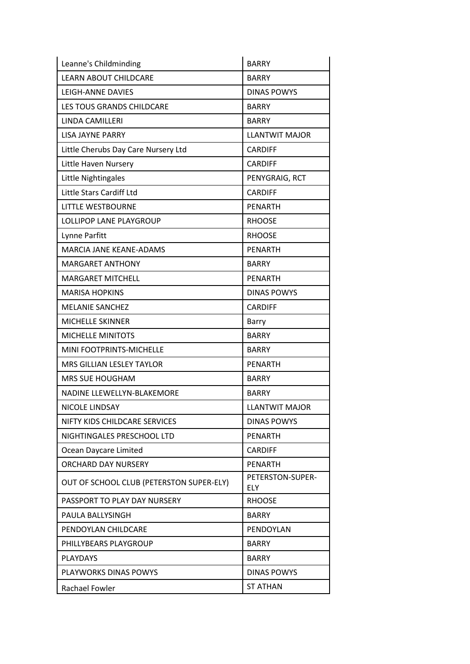| Leanne's Childminding                    | <b>BARRY</b>                   |
|------------------------------------------|--------------------------------|
| <b>LEARN ABOUT CHILDCARE</b>             | <b>BARRY</b>                   |
| <b>LEIGH-ANNE DAVIES</b>                 | <b>DINAS POWYS</b>             |
| <b>LES TOUS GRANDS CHILDCARE</b>         | <b>BARRY</b>                   |
| LINDA CAMILLERI                          | <b>BARRY</b>                   |
| <b>LISA JAYNE PARRY</b>                  | <b>LLANTWIT MAJOR</b>          |
| Little Cherubs Day Care Nursery Ltd      | <b>CARDIFF</b>                 |
| Little Haven Nursery                     | <b>CARDIFF</b>                 |
| Little Nightingales                      | PENYGRAIG, RCT                 |
| Little Stars Cardiff Ltd                 | <b>CARDIFF</b>                 |
| LITTLE WESTBOURNE                        | <b>PENARTH</b>                 |
| LOLLIPOP LANE PLAYGROUP                  | <b>RHOOSE</b>                  |
| Lynne Parfitt                            | <b>RHOOSE</b>                  |
| <b>MARCIA JANE KEANE-ADAMS</b>           | <b>PENARTH</b>                 |
| <b>MARGARET ANTHONY</b>                  | <b>BARRY</b>                   |
| <b>MARGARET MITCHELL</b>                 | <b>PENARTH</b>                 |
| <b>MARISA HOPKINS</b>                    | <b>DINAS POWYS</b>             |
| <b>MELANIE SANCHEZ</b>                   | <b>CARDIFF</b>                 |
| <b>MICHELLE SKINNER</b>                  | Barry                          |
| <b>MICHELLE MINITOTS</b>                 | <b>BARRY</b>                   |
| MINI FOOTPRINTS-MICHELLE                 | <b>BARRY</b>                   |
| MRS GILLIAN LESLEY TAYLOR                | <b>PENARTH</b>                 |
| <b>MRS SUE HOUGHAM</b>                   | <b>BARRY</b>                   |
| NADINE LLEWELLYN-BLAKEMORE               | <b>BARRY</b>                   |
| NICOLE LINDSAY                           | <b>LLANTWIT MAJOR</b>          |
| NIFTY KIDS CHILDCARE SERVICES            | DINAS POWYS                    |
| NIGHTINGALES PRESCHOOL LTD               | <b>PENARTH</b>                 |
| Ocean Daycare Limited                    | <b>CARDIFF</b>                 |
| <b>ORCHARD DAY NURSERY</b>               | <b>PENARTH</b>                 |
| OUT OF SCHOOL CLUB (PETERSTON SUPER-ELY) | PETERSTON-SUPER-<br><b>ELY</b> |
| PASSPORT TO PLAY DAY NURSERY             | <b>RHOOSE</b>                  |
| PAULA BALLYSINGH                         | <b>BARRY</b>                   |
| PENDOYLAN CHILDCARE                      | PENDOYLAN                      |
| PHILLYBEARS PLAYGROUP                    | <b>BARRY</b>                   |
| <b>PLAYDAYS</b>                          | <b>BARRY</b>                   |
| PLAYWORKS DINAS POWYS                    | <b>DINAS POWYS</b>             |
| Rachael Fowler                           | <b>ST ATHAN</b>                |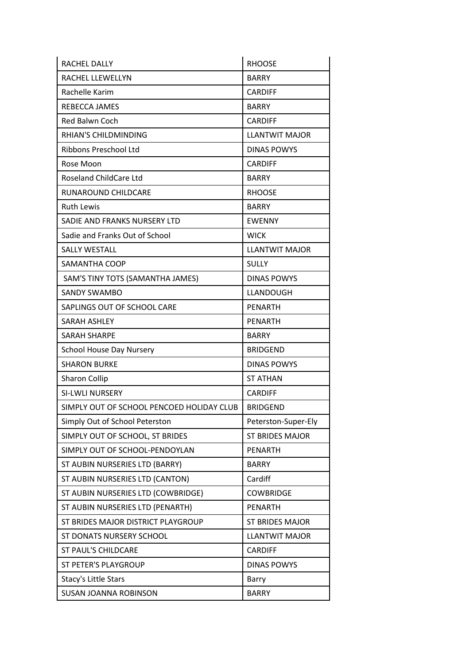| <b>RACHEL DALLY</b>                       | <b>RHOOSE</b>          |
|-------------------------------------------|------------------------|
| RACHEL LLEWELLYN                          | <b>BARRY</b>           |
| Rachelle Karim                            | <b>CARDIFF</b>         |
| REBECCA JAMES                             | <b>BARRY</b>           |
| Red Balwn Coch                            | <b>CARDIFF</b>         |
| <b>RHIAN'S CHILDMINDING</b>               | <b>LLANTWIT MAJOR</b>  |
| Ribbons Preschool Ltd                     | <b>DINAS POWYS</b>     |
| Rose Moon                                 | <b>CARDIFF</b>         |
| Roseland ChildCare Ltd                    | <b>BARRY</b>           |
| RUNAROUND CHILDCARE                       | <b>RHOOSE</b>          |
| <b>Ruth Lewis</b>                         | <b>BARRY</b>           |
| SADIE AND FRANKS NURSERY LTD              | <b>EWENNY</b>          |
| Sadie and Franks Out of School            | <b>WICK</b>            |
| <b>SALLY WESTALL</b>                      | <b>LLANTWIT MAJOR</b>  |
| SAMANTHA COOP                             | <b>SULLY</b>           |
| SAM'S TINY TOTS (SAMANTHA JAMES)          | <b>DINAS POWYS</b>     |
| <b>SANDY SWAMBO</b>                       | LLANDOUGH              |
| SAPLINGS OUT OF SCHOOL CARE               | <b>PENARTH</b>         |
| <b>SARAH ASHLEY</b>                       | <b>PENARTH</b>         |
| <b>SARAH SHARPE</b>                       | <b>BARRY</b>           |
| <b>School House Day Nursery</b>           | <b>BRIDGEND</b>        |
| <b>SHARON BURKE</b>                       | <b>DINAS POWYS</b>     |
| <b>Sharon Collip</b>                      | <b>ST ATHAN</b>        |
| SI-LWLI NURSERY                           | <b>CARDIFF</b>         |
| SIMPLY OUT OF SCHOOL PENCOED HOLIDAY CLUB | <b>BRIDGEND</b>        |
| Simply Out of School Peterston            | Peterston-Super-Ely    |
| SIMPLY OUT OF SCHOOL, ST BRIDES           | <b>ST BRIDES MAJOR</b> |
| SIMPLY OUT OF SCHOOL-PENDOYLAN            | <b>PENARTH</b>         |
| ST AUBIN NURSERIES LTD (BARRY)            | <b>BARRY</b>           |
| ST AUBIN NURSERIES LTD (CANTON)           | Cardiff                |
| ST AUBIN NURSERIES LTD (COWBRIDGE)        | <b>COWBRIDGE</b>       |
| ST AUBIN NURSERIES LTD (PENARTH)          | <b>PENARTH</b>         |
| ST BRIDES MAJOR DISTRICT PLAYGROUP        | <b>ST BRIDES MAJOR</b> |
| ST DONATS NURSERY SCHOOL                  | <b>LLANTWIT MAJOR</b>  |
| <b>ST PAUL'S CHILDCARE</b>                | <b>CARDIFF</b>         |
| <b>ST PETER'S PLAYGROUP</b>               | <b>DINAS POWYS</b>     |
| Stacy's Little Stars                      | Barry                  |
| <b>SUSAN JOANNA ROBINSON</b>              | <b>BARRY</b>           |